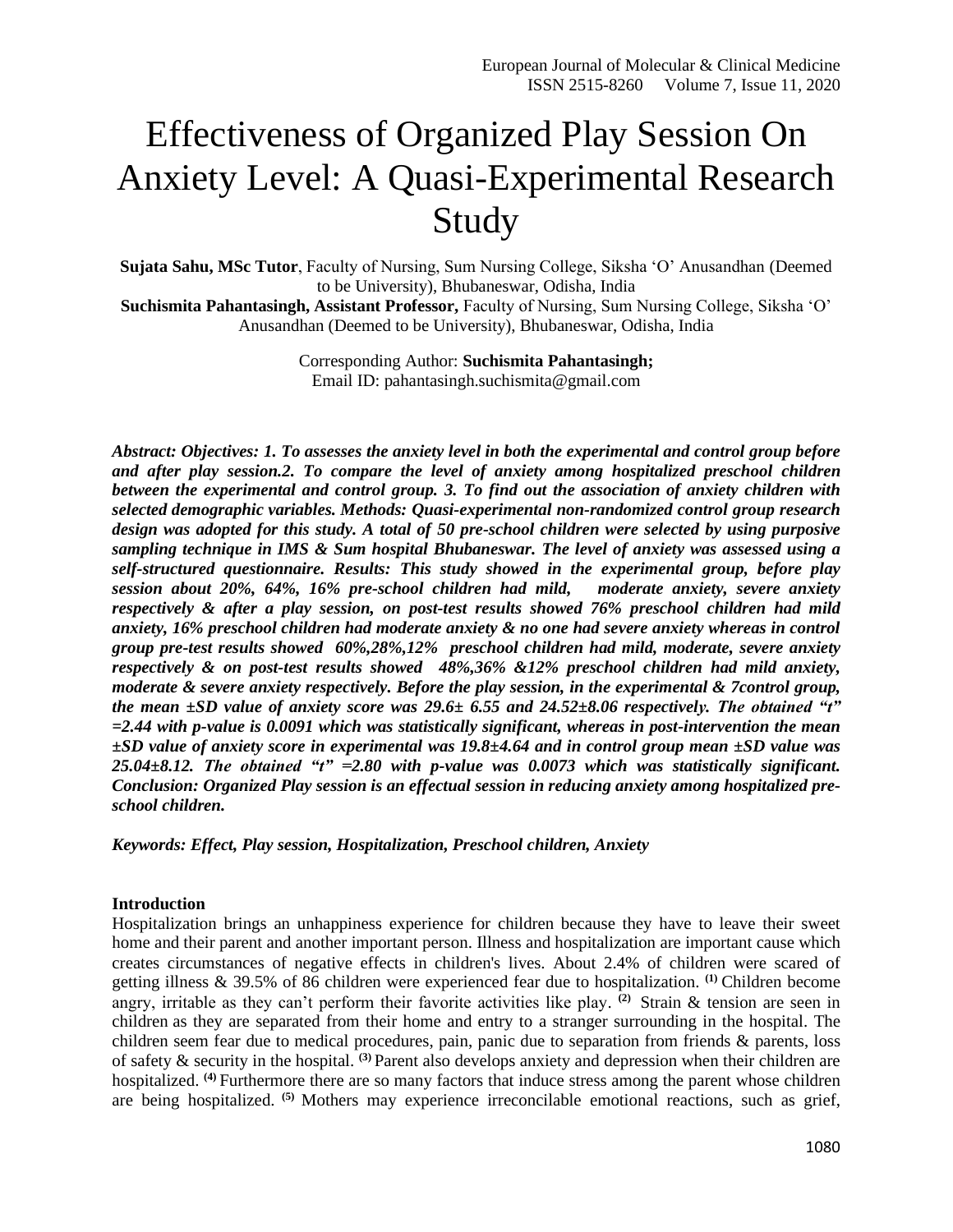# Effectiveness of Organized Play Session On Anxiety Level: A Quasi-Experimental Research Study

**Sujata Sahu, MSc Tutor**, Faculty of Nursing, Sum Nursing College, Siksha 'O' Anusandhan (Deemed to be University), Bhubaneswar, Odisha, India

**Suchismita Pahantasingh, Assistant Professor,** Faculty of Nursing, Sum Nursing College, Siksha 'O' Anusandhan (Deemed to be University), Bhubaneswar, Odisha, India

> Corresponding Author: **Suchismita Pahantasingh;** Email ID: pahantasingh.suchismita@gmail.com

*Abstract: Objectives: 1. To assesses the anxiety level in both the experimental and control group before and after play session.2. To compare the level of anxiety among hospitalized preschool children between the experimental and control group. 3. To find out the association of anxiety children with selected demographic variables. Methods: Quasi-experimental non-randomized control group research design was adopted for this study. A total of 50 pre-school children were selected by using purposive sampling technique in IMS & Sum hospital Bhubaneswar. The level of anxiety was assessed using a self-structured questionnaire. Results: This study showed in the experimental group, before play session about 20%, 64%, 16% pre-school children had mild, moderate anxiety, severe anxiety respectively & after a play session, on post-test results showed 76% preschool children had mild anxiety, 16% preschool children had moderate anxiety & no one had severe anxiety whereas in control group pre-test results showed 60%,28%,12% preschool children had mild, moderate, severe anxiety respectively & on post-test results showed 48%,36% &12% preschool children had mild anxiety, moderate & severe anxiety respectively. Before the play session, in the experimental & 7control group, the mean ±SD value of anxiety score was 29.6± 6.55 and 24.52±8.06 respectively. The obtained "t" =2.44 with p-value is 0.0091 which was statistically significant, whereas in post-intervention the mean ±SD value of anxiety score in experimental was 19.8±4.64 and in control group mean ±SD value was 25.04±8.12. The obtained "t" =2.80 with p-value was 0.0073 which was statistically significant. Conclusion: Organized Play session is an effectual session in reducing anxiety among hospitalized preschool children.* 

*Keywords: Effect, Play session, Hospitalization, Preschool children, Anxiety*

#### **Introduction**

Hospitalization brings an unhappiness experience for children because they have to leave their sweet home and their parent and another important person. Illness and hospitalization are important cause which creates circumstances of negative effects in children's lives. About 2.4% of children were scared of getting illness & 39.5% of 86 children were experienced fear due to hospitalization. **(1)** Children become angry, irritable as they can't perform their favorite activities like play. **(2)** Strain & tension are seen in children as they are separated from their home and entry to a stranger surrounding in the hospital. The children seem fear due to medical procedures, pain, panic due to separation from friends & parents, loss of safety & security in the hospital. **(3)** Parent also develops anxiety and depression when their children are hospitalized. **(4)** Furthermore there are so many factors that induce stress among the parent whose children are being hospitalized. **(5)** Mothers may experience irreconcilable emotional reactions, such as grief,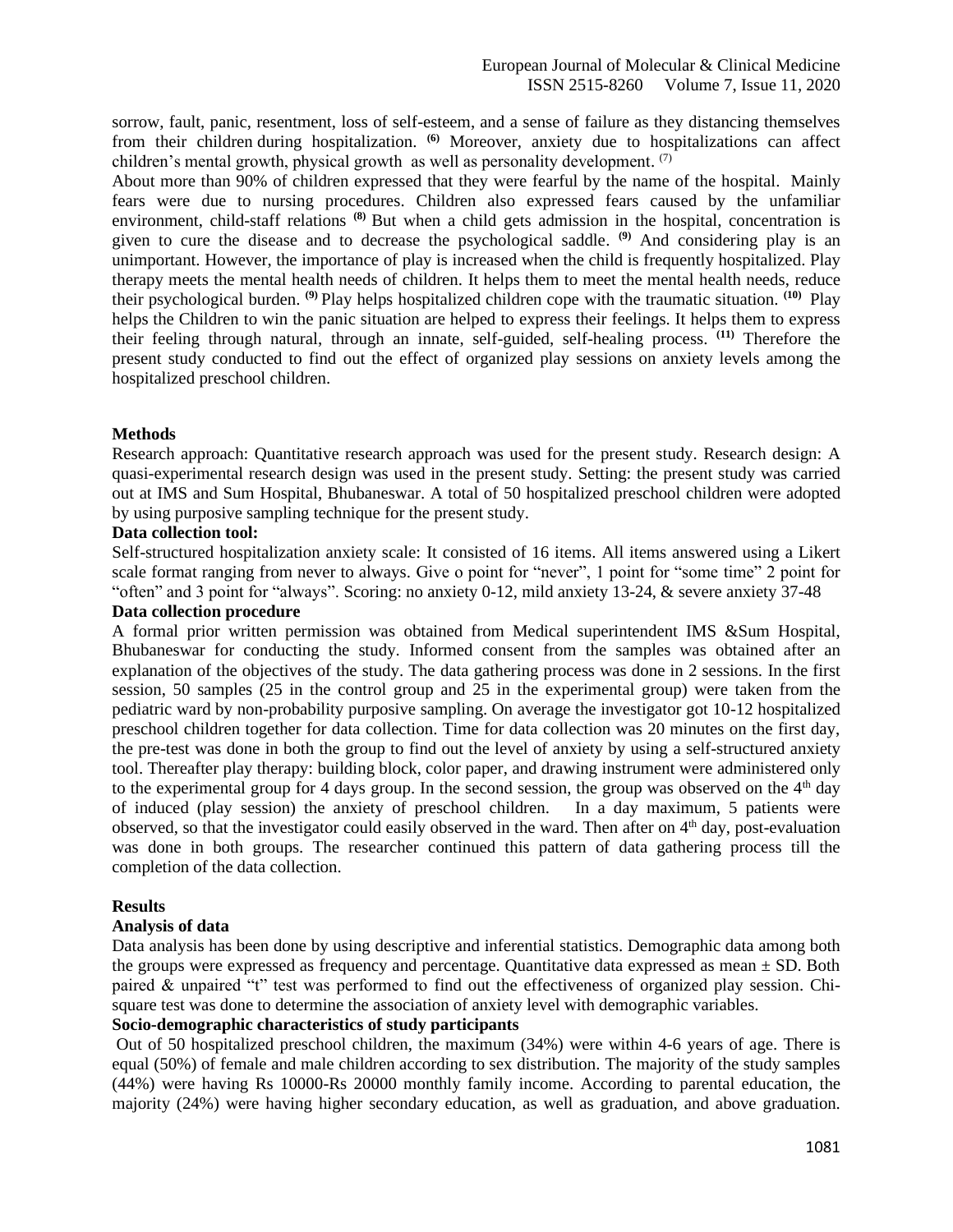sorrow, fault, panic, resentment, loss of self-esteem, and a sense of failure as they distancing themselves from their children during hospitalization. **(6)** Moreover, anxiety due to hospitalizations can affect children's mental growth, physical growth as well as personality development.  $(7)$ 

About more than 90% of children expressed that they were fearful by the name of the hospital. Mainly fears were due to nursing procedures. Children also expressed fears caused by the unfamiliar environment, child-staff relations **(8)** But when a child gets admission in the hospital, concentration is given to cure the disease and to decrease the psychological saddle. <sup>(9)</sup> And considering play is an unimportant. However, the importance of play is increased when the child is frequently hospitalized. Play therapy meets the mental health needs of children. It helps them to meet the mental health needs, reduce their psychological burden. **(9)** Play helps hospitalized children cope with the traumatic situation. **(10)** Play helps the Children to win the panic situation are helped to express their feelings. It helps them to express their feeling through natural, through an innate, self-guided, self-healing process. **(11)** Therefore the present study conducted to find out the effect of organized play sessions on anxiety levels among the hospitalized preschool children.

#### **Methods**

Research approach: Quantitative research approach was used for the present study. Research design: A quasi-experimental research design was used in the present study. Setting: the present study was carried out at IMS and Sum Hospital, Bhubaneswar. A total of 50 hospitalized preschool children were adopted by using purposive sampling technique for the present study.

#### **Data collection tool:**

Self-structured hospitalization anxiety scale: It consisted of 16 items. All items answered using a Likert scale format ranging from never to always. Give o point for "never", 1 point for "some time" 2 point for "often" and 3 point for "always". Scoring: no anxiety 0-12, mild anxiety 13-24, & severe anxiety 37-48

#### **Data collection procedure**

A formal prior written permission was obtained from Medical superintendent IMS &Sum Hospital, Bhubaneswar for conducting the study. Informed consent from the samples was obtained after an explanation of the objectives of the study. The data gathering process was done in 2 sessions. In the first session, 50 samples (25 in the control group and 25 in the experimental group) were taken from the pediatric ward by non-probability purposive sampling. On average the investigator got 10-12 hospitalized preschool children together for data collection. Time for data collection was 20 minutes on the first day, the pre-test was done in both the group to find out the level of anxiety by using a self-structured anxiety tool. Thereafter play therapy: building block, color paper, and drawing instrument were administered only to the experimental group for 4 days group. In the second session, the group was observed on the  $4<sup>th</sup>$  day of induced (play session) the anxiety of preschool children. In a day maximum, 5 patients were observed, so that the investigator could easily observed in the ward. Then after on 4<sup>th</sup> day, post-evaluation was done in both groups. The researcher continued this pattern of data gathering process till the completion of the data collection.

## **Results**

## **Analysis of data**

Data analysis has been done by using descriptive and inferential statistics. Demographic data among both the groups were expressed as frequency and percentage. Quantitative data expressed as mean  $\pm$  SD. Both paired & unpaired "t" test was performed to find out the effectiveness of organized play session. Chisquare test was done to determine the association of anxiety level with demographic variables.

#### **Socio-demographic characteristics of study participants**

Out of 50 hospitalized preschool children, the maximum (34%) were within 4-6 years of age. There is equal (50%) of female and male children according to sex distribution. The majority of the study samples (44%) were having Rs 10000-Rs 20000 monthly family income. According to parental education, the majority (24%) were having higher secondary education, as well as graduation, and above graduation.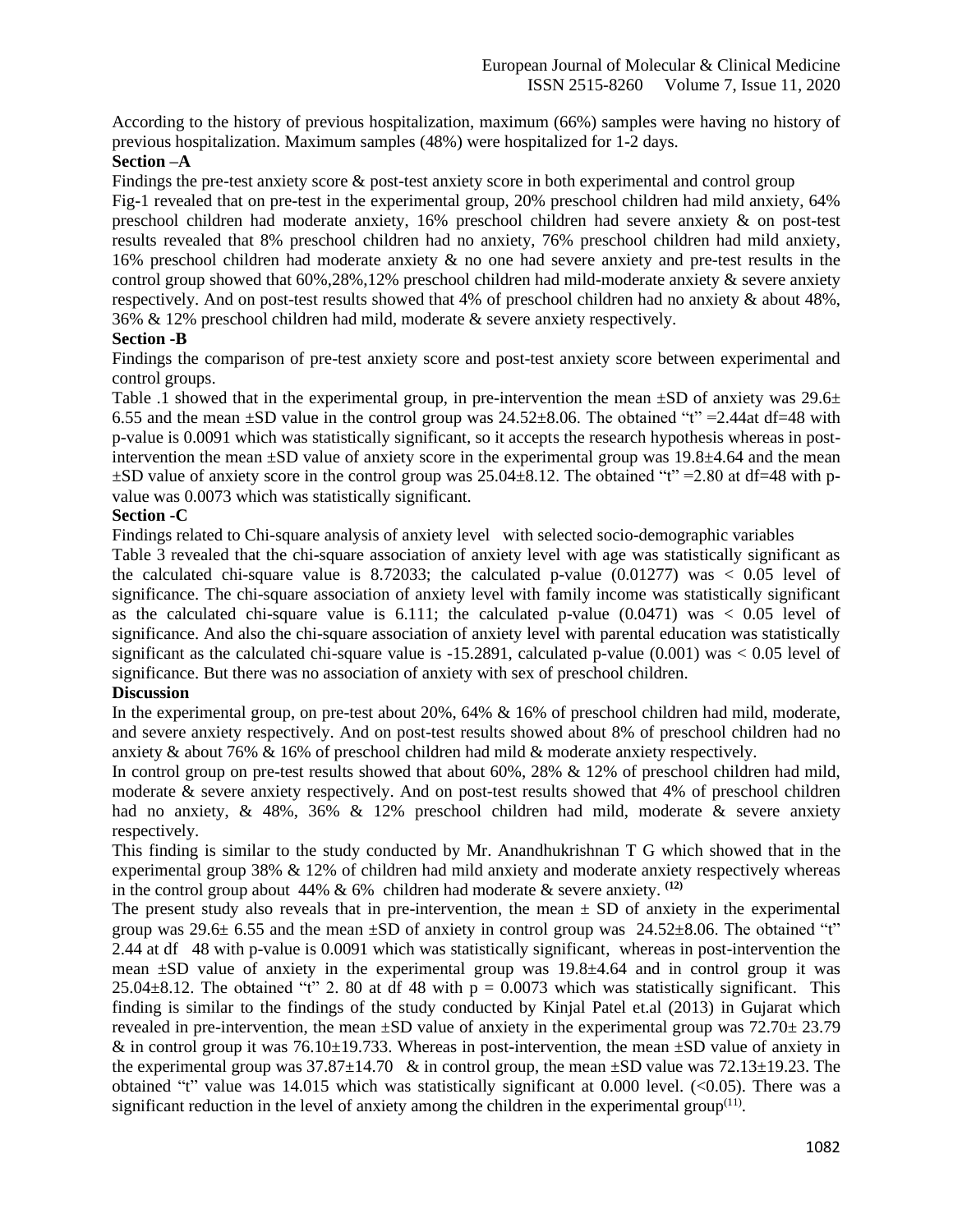According to the history of previous hospitalization, maximum (66%) samples were having no history of previous hospitalization. Maximum samples (48%) were hospitalized for 1-2 days.

## **Section –A**

Findings the pre-test anxiety score & post-test anxiety score in both experimental and control group

Fig-1 revealed that on pre-test in the experimental group, 20% preschool children had mild anxiety, 64% preschool children had moderate anxiety, 16% preschool children had severe anxiety & on post-test results revealed that 8% preschool children had no anxiety, 76% preschool children had mild anxiety, 16% preschool children had moderate anxiety & no one had severe anxiety and pre-test results in the control group showed that 60%,28%,12% preschool children had mild-moderate anxiety & severe anxiety respectively. And on post-test results showed that 4% of preschool children had no anxiety & about 48%, 36% & 12% preschool children had mild, moderate & severe anxiety respectively.

## **Section -B**

Findings the comparison of pre-test anxiety score and post-test anxiety score between experimental and control groups.

Table .1 showed that in the experimental group, in pre-intervention the mean  $\pm SD$  of anxiety was 29.6 $\pm$ 6.55 and the mean  $\pm$ SD value in the control group was 24.52 $\pm$ 8.06. The obtained "t" = 2.44at df=48 with p-value is 0.0091 which was statistically significant, so it accepts the research hypothesis whereas in postintervention the mean  $\pm SD$  value of anxiety score in the experimental group was 19.8 $\pm$ 4.64 and the mean  $\pm$ SD value of anxiety score in the control group was 25.04 $\pm$ 8.12. The obtained "t" = 2.80 at df=48 with pvalue was 0.0073 which was statistically significant.

# **Section -C**

Findings related to Chi-square analysis of anxiety level with selected socio-demographic variables

Table 3 revealed that the chi-square association of anxiety level with age was statistically significant as the calculated chi-square value is 8.72033; the calculated p-value  $(0.01277)$  was  $\lt 0.05$  level of significance. The chi-square association of anxiety level with family income was statistically significant as the calculated chi-square value is  $6.111$ ; the calculated p-value  $(0.0471)$  was  $< 0.05$  level of significance. And also the chi-square association of anxiety level with parental education was statistically significant as the calculated chi-square value is  $-15.2891$ , calculated p-value (0.001) was  $< 0.05$  level of significance. But there was no association of anxiety with sex of preschool children.

# **Discussion**

In the experimental group, on pre-test about 20%, 64% & 16% of preschool children had mild, moderate, and severe anxiety respectively. And on post-test results showed about 8% of preschool children had no anxiety & about 76% & 16% of preschool children had mild & moderate anxiety respectively.

In control group on pre-test results showed that about 60%, 28% & 12% of preschool children had mild, moderate & severe anxiety respectively. And on post-test results showed that 4% of preschool children had no anxiety, & 48%, 36% & 12% preschool children had mild, moderate & severe anxiety respectively.

This finding is similar to the study conducted by Mr. Anandhukrishnan T G which showed that in the experimental group 38% & 12% of children had mild anxiety and moderate anxiety respectively whereas in the control group about  $44\% \& 6\%$  children had moderate  $\&$  severe anxiety. <sup>(12)</sup>

The present study also reveals that in pre-intervention, the mean  $\pm$  SD of anxiety in the experimental group was  $29.6\pm 6.55$  and the mean  $\pm SD$  of anxiety in control group was  $24.52\pm 8.06$ . The obtained "t" 2.44 at df 48 with p-value is 0.0091 which was statistically significant, whereas in post-intervention the mean ±SD value of anxiety in the experimental group was 19.8±4.64 and in control group it was  $25.04\pm8.12$ . The obtained "t" 2. 80 at df 48 with  $p = 0.0073$  which was statistically significant. This finding is similar to the findings of the study conducted by Kinjal Patel et.al (2013) in Gujarat which revealed in pre-intervention, the mean  $\pm SD$  value of anxiety in the experimental group was 72.70 $\pm$  23.79 & in control group it was  $76.10\pm19.733$ . Whereas in post-intervention, the mean  $\pm SD$  value of anxiety in the experimental group was  $37.87\pm14.70$  & in control group, the mean  $\pm$ SD value was 72.13 $\pm$ 19.23. The obtained "t" value was 14.015 which was statistically significant at 0.000 level. (<0.05). There was a significant reduction in the level of anxiety among the children in the experimental group $(11)$ .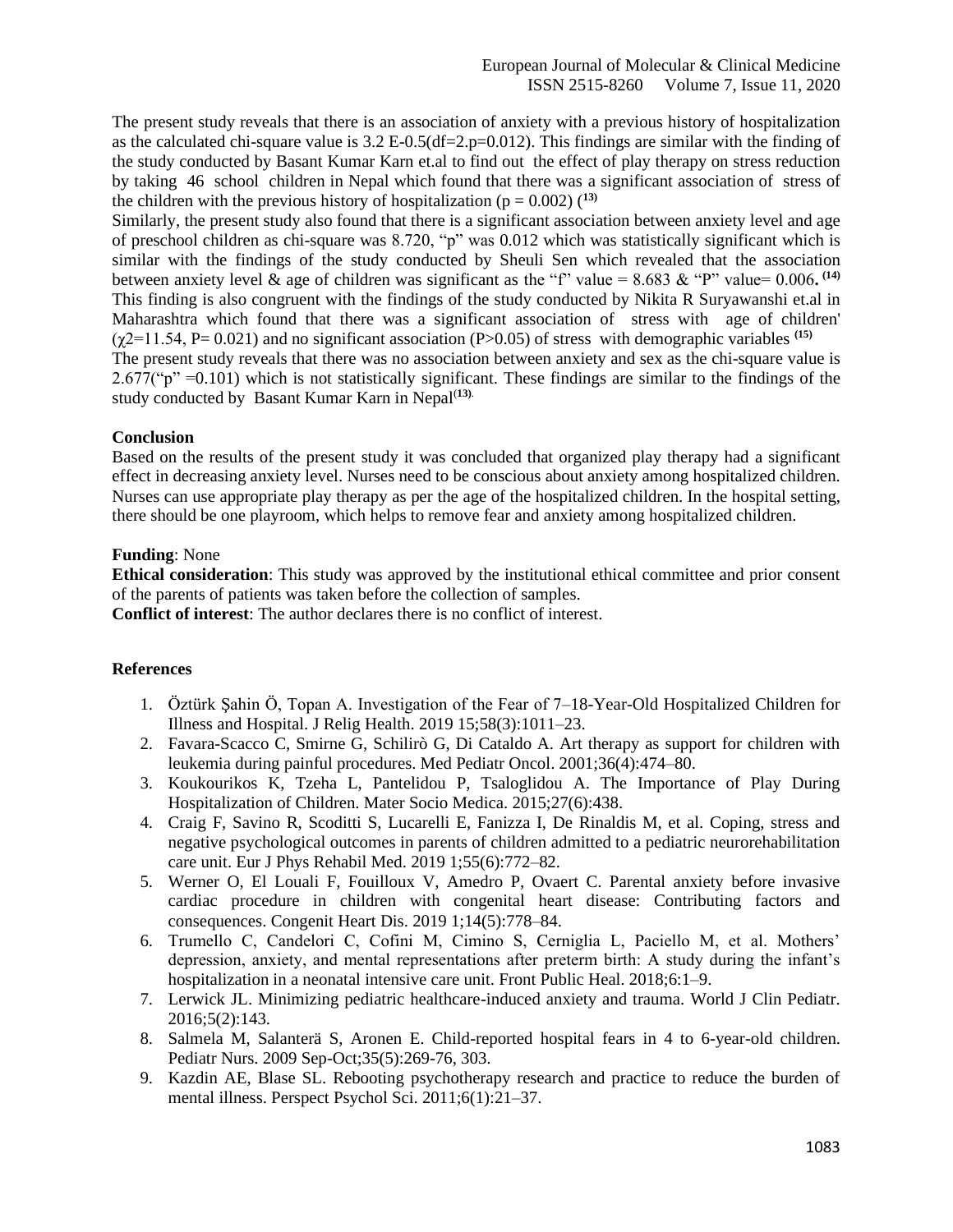The present study reveals that there is an association of anxiety with a previous history of hospitalization as the calculated chi-square value is  $3.2 E$ -0.5(df=2.p=0.012). This findings are similar with the finding of the study conducted by Basant Kumar Karn et.al to find out the effect of play therapy on stress reduction by taking 46 school children in Nepal which found that there was a significant association of stress of the children with the previous history of hospitalization ( $p = 0.002$ ) (<sup>13)</sup>

Similarly, the present study also found that there is a significant association between anxiety level and age of preschool children as chi-square was 8.720, "p" was 0.012 which was statistically significant which is similar with the findings of the study conducted by Sheuli Sen which revealed that the association between anxiety level & age of children was significant as the "f" value =  $8.683 \&$  "P" value=  $0.006$ .<sup>(14)</sup> This finding is also congruent with the findings of the study conducted by Nikita R Suryawanshi et.al in Maharashtra which found that there was a significant association of stress with age of children'  $(\gamma 2=11.54, P= 0.021)$  and no significant association (P $> 0.05$ ) of stress with demographic variables <sup>(15)</sup> The present study reveals that there was no association between anxiety and sex as the chi-square value is

 $2.677$ ("p" =0.101) which is not statistically significant. These findings are similar to the findings of the study conducted by Basant Kumar Karn in Nepal<sup>(13).</sup>

# **Conclusion**

Based on the results of the present study it was concluded that organized play therapy had a significant effect in decreasing anxiety level. Nurses need to be conscious about anxiety among hospitalized children. Nurses can use appropriate play therapy as per the age of the hospitalized children. In the hospital setting, there should be one playroom, which helps to remove fear and anxiety among hospitalized children.

# **Funding**: None

**Ethical consideration**: This study was approved by the institutional ethical committee and prior consent of the parents of patients was taken before the collection of samples.

**Conflict of interest**: The author declares there is no conflict of interest.

## **References**

- 1. Öztürk Şahin Ö, Topan A. Investigation of the Fear of 7–18-Year-Old Hospitalized Children for Illness and Hospital. J Relig Health. 2019 15;58(3):1011–23.
- 2. Favara-Scacco C, Smirne G, Schilirò G, Di Cataldo A. Art therapy as support for children with leukemia during painful procedures. Med Pediatr Oncol. 2001;36(4):474–80.
- 3. Koukourikos K, Tzeha L, Pantelidou P, Tsaloglidou A. The Importance of Play During Hospitalization of Children. Mater Socio Medica. 2015;27(6):438.
- 4. Craig F, Savino R, Scoditti S, Lucarelli E, Fanizza I, De Rinaldis M, et al. Coping, stress and negative psychological outcomes in parents of children admitted to a pediatric neurorehabilitation care unit. Eur J Phys Rehabil Med. 2019 1;55(6):772–82.
- 5. Werner O, El Louali F, Fouilloux V, Amedro P, Ovaert C. Parental anxiety before invasive cardiac procedure in children with congenital heart disease: Contributing factors and consequences. Congenit Heart Dis. 2019 1;14(5):778–84.
- 6. Trumello C, Candelori C, Cofini M, Cimino S, Cerniglia L, Paciello M, et al. Mothers' depression, anxiety, and mental representations after preterm birth: A study during the infant's hospitalization in a neonatal intensive care unit. Front Public Heal. 2018;6:1–9.
- 7. Lerwick JL. Minimizing pediatric healthcare-induced anxiety and trauma. World J Clin Pediatr. 2016;5(2):143.
- 8. Salmela M, Salanterä S, Aronen E. Child-reported hospital fears in 4 to 6-year-old children. Pediatr Nurs. 2009 Sep-Oct;35(5):269-76, 303.
- 9. Kazdin AE, Blase SL. Rebooting psychotherapy research and practice to reduce the burden of mental illness. Perspect Psychol Sci. 2011;6(1):21–37.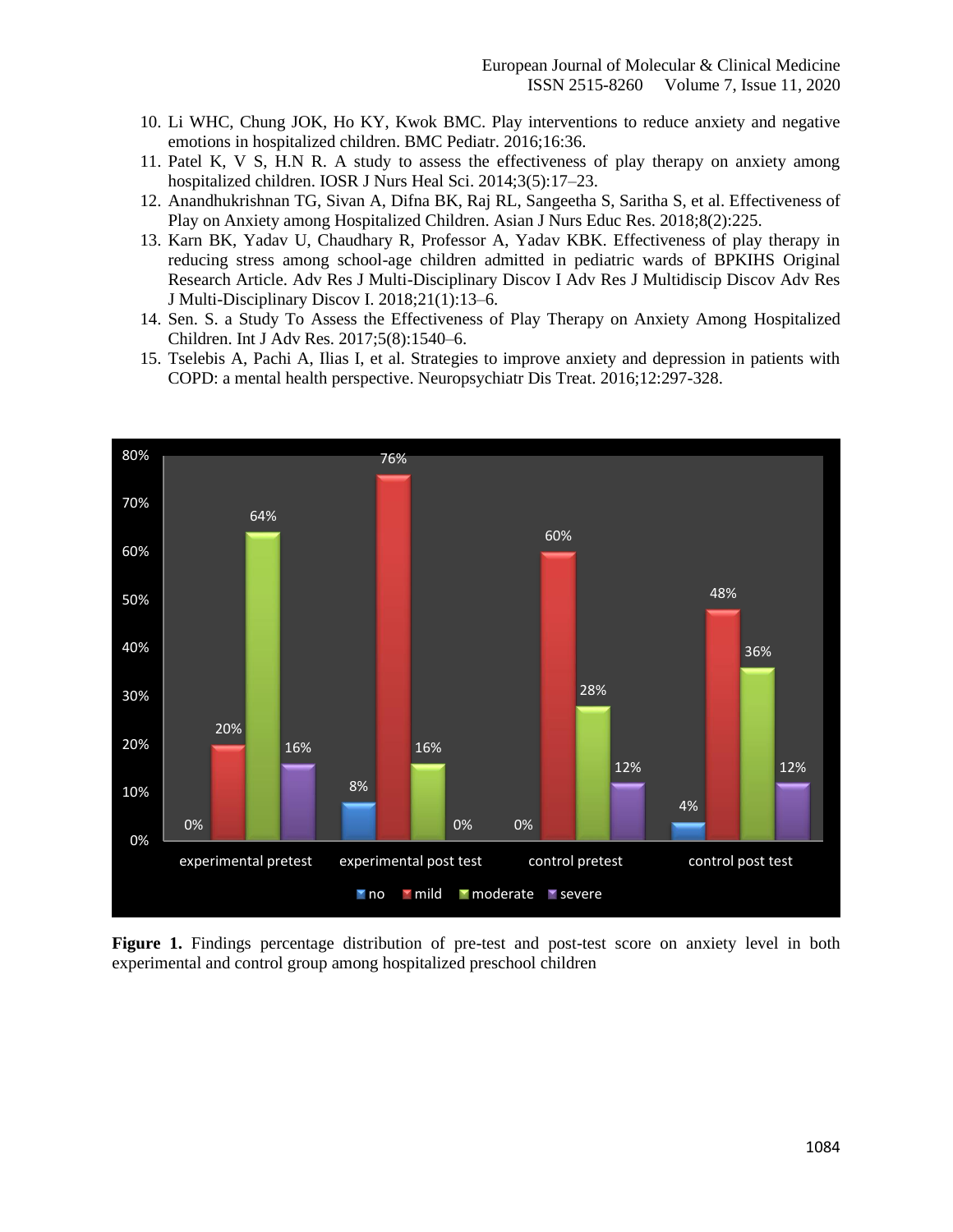- 10. Li WHC, Chung JOK, Ho KY, Kwok BMC. Play interventions to reduce anxiety and negative emotions in hospitalized children. BMC Pediatr. 2016;16:36.
- 11. Patel K, V S, H.N R. A study to assess the effectiveness of play therapy on anxiety among hospitalized children. IOSR J Nurs Heal Sci. 2014;3(5):17–23.
- 12. Anandhukrishnan TG, Sivan A, Difna BK, Raj RL, Sangeetha S, Saritha S, et al. Effectiveness of Play on Anxiety among Hospitalized Children. Asian J Nurs Educ Res. 2018;8(2):225.
- 13. Karn BK, Yadav U, Chaudhary R, Professor A, Yadav KBK. Effectiveness of play therapy in reducing stress among school-age children admitted in pediatric wards of BPKIHS Original Research Article. Adv Res J Multi-Disciplinary Discov I Adv Res J Multidiscip Discov Adv Res J Multi-Disciplinary Discov I. 2018;21(1):13–6.
- 14. Sen. S. a Study To Assess the Effectiveness of Play Therapy on Anxiety Among Hospitalized Children. Int J Adv Res. 2017;5(8):1540–6.
- 15. Tselebis A, Pachi A, Ilias I, et al. Strategies to improve anxiety and depression in patients with COPD: a mental health perspective. Neuropsychiatr Dis Treat. 2016;12:297-328.



**Figure 1.** Findings percentage distribution of pre-test and post-test score on anxiety level in both experimental and control group among hospitalized preschool children